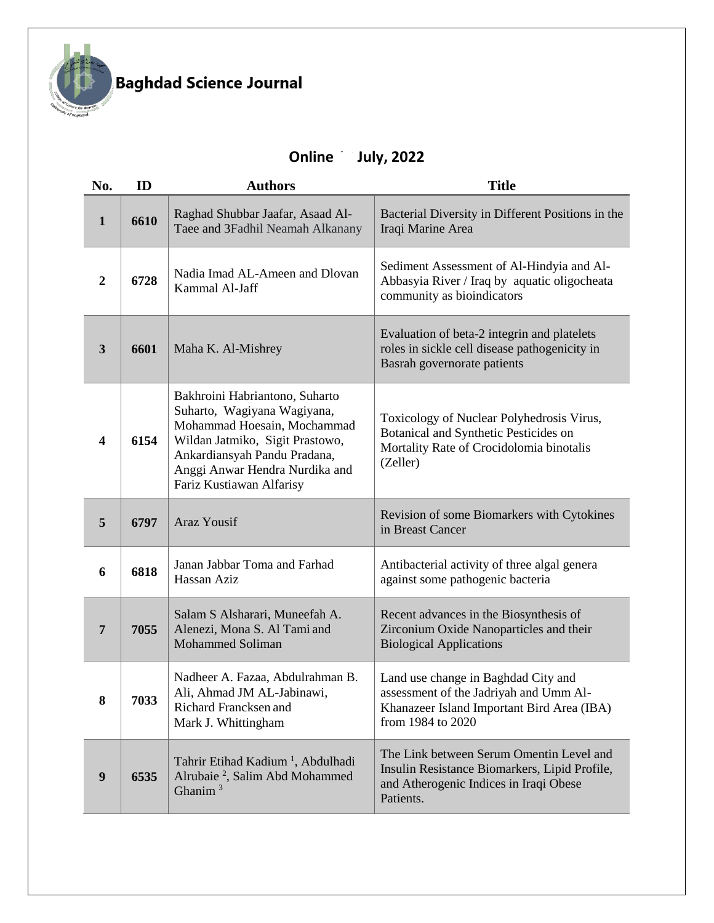

## **Baghdad Science Journal**

## **Online 10 July, 2022**

| No.            | ID   | <b>Authors</b>                                                                                                                                                                                                                | <b>Title</b>                                                                                                                                     |
|----------------|------|-------------------------------------------------------------------------------------------------------------------------------------------------------------------------------------------------------------------------------|--------------------------------------------------------------------------------------------------------------------------------------------------|
| 1              | 6610 | Raghad Shubbar Jaafar, Asaad Al-<br>Taee and 3Fadhil Neamah Alkanany                                                                                                                                                          | Bacterial Diversity in Different Positions in the<br>Iraqi Marine Area                                                                           |
| $\overline{2}$ | 6728 | Nadia Imad AL-Ameen and Dlovan<br>Kammal Al-Jaff                                                                                                                                                                              | Sediment Assessment of Al-Hindyia and Al-<br>Abbasyia River / Iraq by aquatic oligocheata<br>community as bioindicators                          |
| 3              | 6601 | Maha K. Al-Mishrey                                                                                                                                                                                                            | Evaluation of beta-2 integrin and platelets<br>roles in sickle cell disease pathogenicity in<br>Basrah governorate patients                      |
| 4              | 6154 | Bakhroini Habriantono, Suharto<br>Suharto, Wagiyana Wagiyana,<br>Mohammad Hoesain, Mochammad<br>Wildan Jatmiko, Sigit Prastowo,<br>Ankardiansyah Pandu Pradana,<br>Anggi Anwar Hendra Nurdika and<br>Fariz Kustiawan Alfarisy | Toxicology of Nuclear Polyhedrosis Virus,<br>Botanical and Synthetic Pesticides on<br>Mortality Rate of Crocidolomia binotalis<br>(Zeller)       |
| 5              | 6797 | Araz Yousif                                                                                                                                                                                                                   | Revision of some Biomarkers with Cytokines<br>in Breast Cancer                                                                                   |
| 6              | 6818 | Janan Jabbar Toma and Farhad<br>Hassan Aziz                                                                                                                                                                                   | Antibacterial activity of three algal genera<br>against some pathogenic bacteria                                                                 |
| 7              | 7055 | Salam S Alsharari, Muneefah A.<br>Alenezi, Mona S. Al Tami and<br><b>Mohammed Soliman</b>                                                                                                                                     | Recent advances in the Biosynthesis of<br>Zirconium Oxide Nanoparticles and their<br><b>Biological Applications</b>                              |
| 8              | 7033 | Nadheer A. Fazaa, Abdulrahman B.<br>Ali, Ahmad JM AL-Jabinawi,<br>Richard Francksen and<br>Mark J. Whittingham                                                                                                                | Land use change in Baghdad City and<br>assessment of the Jadriyah and Umm Al-<br>Khanazeer Island Important Bird Area (IBA)<br>from 1984 to 2020 |
| 9              | 6535 | Tahrir Etihad Kadium <sup>1</sup> , Abdulhadi<br>Alrubaie <sup>2</sup> , Salim Abd Mohammed<br>Ghanim $3$                                                                                                                     | The Link between Serum Omentin Level and<br>Insulin Resistance Biomarkers, Lipid Profile,<br>and Atherogenic Indices in Iraqi Obese<br>Patients. |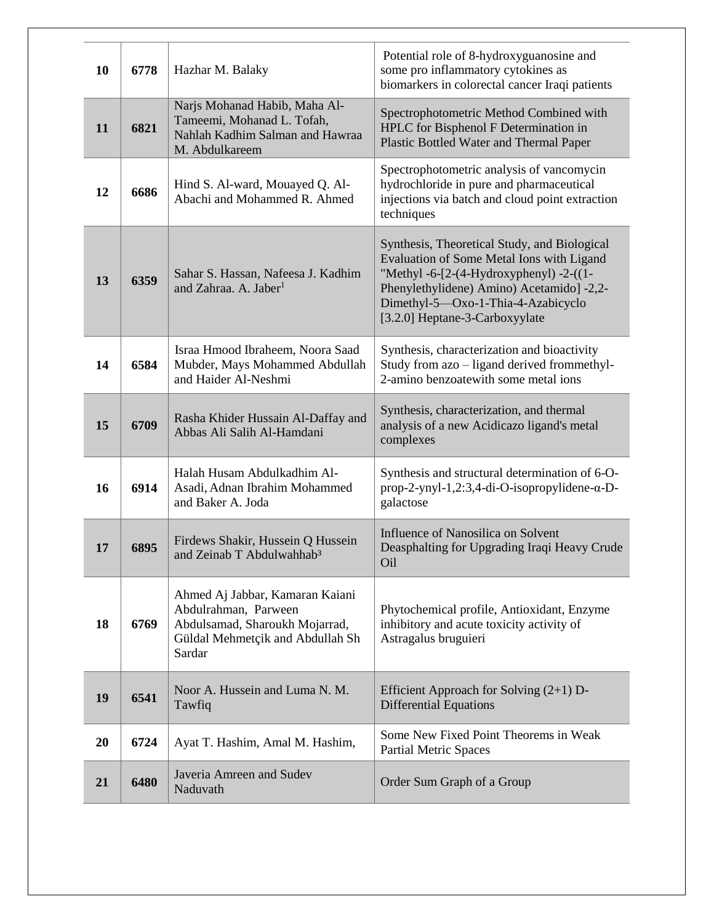| 10 | 6778 | Hazhar M. Balaky                                                                                                                        | Potential role of 8-hydroxyguanosine and<br>some pro inflammatory cytokines as<br>biomarkers in colorectal cancer Iraqi patients                                                                                                                                         |
|----|------|-----------------------------------------------------------------------------------------------------------------------------------------|--------------------------------------------------------------------------------------------------------------------------------------------------------------------------------------------------------------------------------------------------------------------------|
| 11 | 6821 | Narjs Mohanad Habib, Maha Al-<br>Tameemi, Mohanad L. Tofah,<br>Nahlah Kadhim Salman and Hawraa<br>M. Abdulkareem                        | Spectrophotometric Method Combined with<br>HPLC for Bisphenol F Determination in<br>Plastic Bottled Water and Thermal Paper                                                                                                                                              |
| 12 | 6686 | Hind S. Al-ward, Mouayed Q. Al-<br>Abachi and Mohammed R. Ahmed                                                                         | Spectrophotometric analysis of vancomycin<br>hydrochloride in pure and pharmaceutical<br>injections via batch and cloud point extraction<br>techniques                                                                                                                   |
| 13 | 6359 | Sahar S. Hassan, Nafeesa J. Kadhim<br>and Zahraa. A. Jaber <sup>1</sup>                                                                 | Synthesis, Theoretical Study, and Biological<br>Evaluation of Some Metal Ions with Ligand<br>"Methyl -6- $[2-(4-Hydroxyphenyl) -2-((1-Hydroxyphen)$<br>Phenylethylidene) Amino) Acetamido] -2,2-<br>Dimethyl-5-Oxo-1-Thia-4-Azabicyclo<br>[3.2.0] Heptane-3-Carboxyylate |
| 14 | 6584 | Israa Hmood Ibraheem, Noora Saad<br>Mubder, Mays Mohammed Abdullah<br>and Haider Al-Neshmi                                              | Synthesis, characterization and bioactivity<br>Study from azo – ligand derived frommethyl-<br>2-amino benzoatewith some metal ions                                                                                                                                       |
| 15 | 6709 | Rasha Khider Hussain Al-Daffay and<br>Abbas Ali Salih Al-Hamdani                                                                        | Synthesis, characterization, and thermal<br>analysis of a new Acidicazo ligand's metal<br>complexes                                                                                                                                                                      |
| 16 | 6914 | Halah Husam Abdulkadhim Al-<br>Asadi, Adnan Ibrahim Mohammed<br>and Baker A. Joda                                                       | Synthesis and structural determination of 6-O-<br>$prop-2-ynyl-1,2:3,4-di-O-isopropylidene-\alpha-D-$<br>galactose                                                                                                                                                       |
| 17 | 6895 | Firdews Shakir, Hussein Q Hussein<br>and Zeinab T Abdulwahhab <sup>3</sup>                                                              | Influence of Nanosilica on Solvent<br>Deasphalting for Upgrading Iraqi Heavy Crude<br>Oil                                                                                                                                                                                |
| 18 | 6769 | Ahmed Aj Jabbar, Kamaran Kaiani<br>Abdulrahman, Parween<br>Abdulsamad, Sharoukh Mojarrad,<br>Güldal Mehmetçik and Abdullah Sh<br>Sardar | Phytochemical profile, Antioxidant, Enzyme<br>inhibitory and acute toxicity activity of<br>Astragalus bruguieri                                                                                                                                                          |
| 19 | 6541 | Noor A. Hussein and Luma N. M.<br>Tawfiq                                                                                                | Efficient Approach for Solving $(2+1)$ D-<br><b>Differential Equations</b>                                                                                                                                                                                               |
| 20 | 6724 | Ayat T. Hashim, Amal M. Hashim,                                                                                                         | Some New Fixed Point Theorems in Weak<br><b>Partial Metric Spaces</b>                                                                                                                                                                                                    |
| 21 | 6480 | Javeria Amreen and Sudev<br>Naduvath                                                                                                    | Order Sum Graph of a Group                                                                                                                                                                                                                                               |